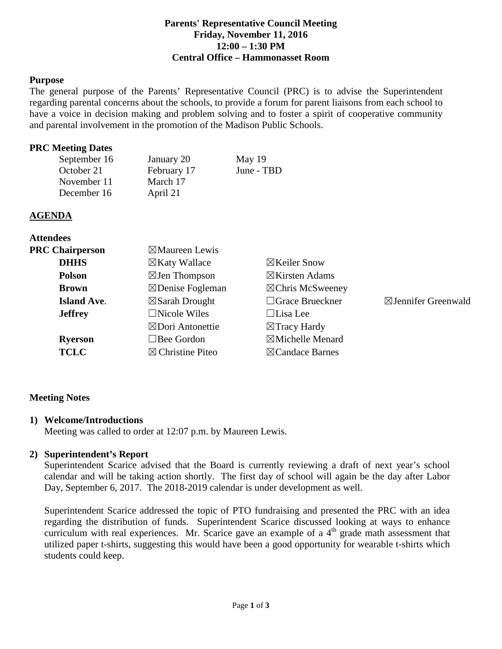#### **Parents' Representative Council Meeting Friday, November 11, 2016 12:00 – 1:30 PM Central Office – Hammonasset Room**

#### **Purpose**

The general purpose of the Parents' Representative Council (PRC) is to advise the Superintendent regarding parental concerns about the schools, to provide a forum for parent liaisons from each school to have a voice in decision making and problem solving and to foster a spirit of cooperative community and parental involvement in the promotion of the Madison Public Schools.

#### **PRC Meeting Dates**

| September 16 | January 20  | May 19     |
|--------------|-------------|------------|
| October 21   | February 17 | June - TBD |
| November 11  | March 17    |            |
| December 16  | April 21    |            |

### **AGENDA**

**Attendees**

| $\boxtimes$ Maureen Lewis   |                             |                                |
|-----------------------------|-----------------------------|--------------------------------|
| $\boxtimes$ Katy Wallace    | $\boxtimes$ Keiler Snow     |                                |
| $\boxtimes$ Jen Thompson    | $\boxtimes$ Kirsten Adams   |                                |
| $\boxtimes$ Denise Fogleman | $\boxtimes$ Chris McSweeney |                                |
| $\boxtimes$ Sarah Drought   | $\Box$ Grace Brueckner      | $\boxtimes$ Jennifer Greenwald |
| $\Box$ Nicole Wiles         | $\Box$ Lisa Lee             |                                |
| $\boxtimes$ Dori Antonettie | $\boxtimes$ Tracy Hardy     |                                |
| $\Box$ Bee Gordon           | $\boxtimes$ Michelle Menard |                                |
| $\boxtimes$ Christine Piteo | $\boxtimes$ Candace Barnes  |                                |
|                             |                             |                                |

## **Meeting Notes**

#### **1) Welcome/Introductions**

Meeting was called to order at 12:07 p.m. by Maureen Lewis.

#### **2) Superintendent's Report**

Superintendent Scarice advised that the Board is currently reviewing a draft of next year's school calendar and will be taking action shortly. The first day of school will again be the day after Labor Day, September 6, 2017. The 2018-2019 calendar is under development as well.

Superintendent Scarice addressed the topic of PTO fundraising and presented the PRC with an idea regarding the distribution of funds. Superintendent Scarice discussed looking at ways to enhance curriculum with real experiences. Mr. Scarice gave an example of a  $4<sup>th</sup>$  grade math assessment that utilized paper t-shirts, suggesting this would have been a good opportunity for wearable t-shirts which students could keep.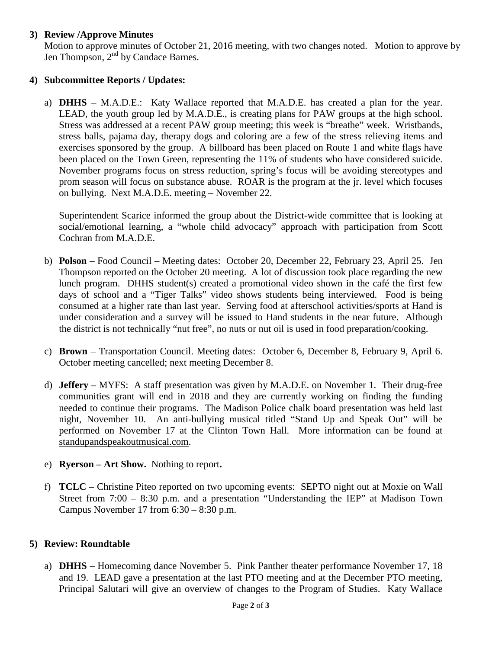## **3) Review /Approve Minutes**

Motion to approve minutes of October 21, 2016 meeting, with two changes noted. Motion to approve by Jen Thompson,  $2<sup>nd</sup>$  by Candace Barnes.

#### **4) Subcommittee Reports / Updates:**

a) **DHHS** – M.A.D.E.: Katy Wallace reported that M.A.D.E. has created a plan for the year. LEAD, the youth group led by M.A.D.E., is creating plans for PAW groups at the high school. Stress was addressed at a recent PAW group meeting; this week is "breathe" week. Wristbands, stress balls, pajama day, therapy dogs and coloring are a few of the stress relieving items and exercises sponsored by the group. A billboard has been placed on Route 1 and white flags have been placed on the Town Green, representing the 11% of students who have considered suicide. November programs focus on stress reduction, spring's focus will be avoiding stereotypes and prom season will focus on substance abuse. ROAR is the program at the jr. level which focuses on bullying. Next M.A.D.E. meeting – November 22.

Superintendent Scarice informed the group about the District-wide committee that is looking at social/emotional learning, a "whole child advocacy" approach with participation from Scott Cochran from M.A.D.E.

- b) **Polson** Food Council Meeting dates: October 20, December 22, February 23, April 25. Jen Thompson reported on the October 20 meeting. A lot of discussion took place regarding the new lunch program. DHHS student(s) created a promotional video shown in the café the first few days of school and a "Tiger Talks" video shows students being interviewed. Food is being consumed at a higher rate than last year. Serving food at afterschool activities/sports at Hand is under consideration and a survey will be issued to Hand students in the near future. Although the district is not technically "nut free", no nuts or nut oil is used in food preparation/cooking.
- c) **Brown** Transportation Council. Meeting dates: October 6, December 8, February 9, April 6. October meeting cancelled; next meeting December 8.
- d) **Jeffery** MYFS: A staff presentation was given by M.A.D.E. on November 1. Their drug-free communities grant will end in 2018 and they are currently working on finding the funding needed to continue their programs. The Madison Police chalk board presentation was held last night, November 10. An anti-bullying musical titled "Stand Up and Speak Out" will be performed on November 17 at the Clinton Town Hall. More information can be found at standupandspeakoutmusical.com.
- e) **Ryerson – Art Show.** Nothing to report**.**
- f) **TCLC**  Christine Piteo reported on two upcoming events: SEPTO night out at Moxie on Wall Street from 7:00 – 8:30 p.m. and a presentation "Understanding the IEP" at Madison Town Campus November 17 from 6:30 – 8:30 p.m.

#### **5) Review: Roundtable**

a) **DHHS** – Homecoming dance November 5. Pink Panther theater performance November 17, 18 and 19. LEAD gave a presentation at the last PTO meeting and at the December PTO meeting, Principal Salutari will give an overview of changes to the Program of Studies. Katy Wallace